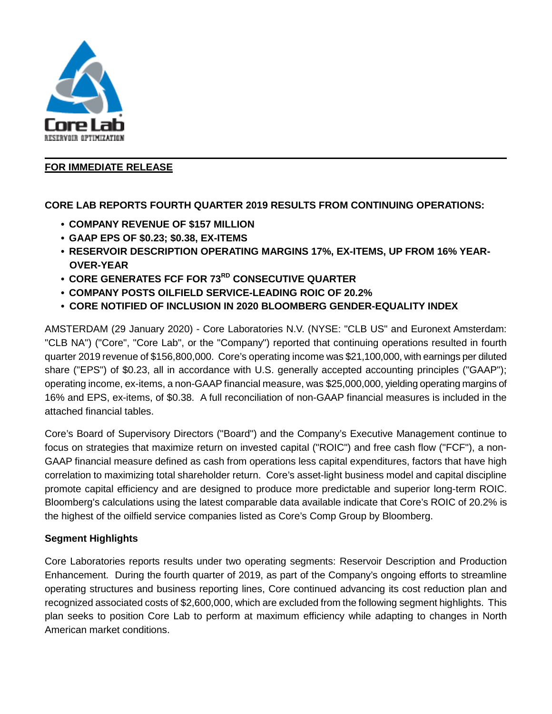

### **FOR IMMEDIATE RELEASE**

### **CORE LAB REPORTS FOURTH QUARTER 2019 RESULTS FROM CONTINUING OPERATIONS:**

- **COMPANY REVENUE OF \$157 MILLION**
- **GAAP EPS OF \$0.23; \$0.38, EX-ITEMS**
- **RESERVOIR DESCRIPTION OPERATING MARGINS 17%, EX-ITEMS, UP FROM 16% YEAR-OVER-YEAR**
- **CORE GENERATES FCF FOR 73RD CONSECUTIVE QUARTER**
- **COMPANY POSTS OILFIELD SERVICE-LEADING ROIC OF 20.2%**
- **CORE NOTIFIED OF INCLUSION IN 2020 BLOOMBERG GENDER-EQUALITY INDEX**

AMSTERDAM (29 January 2020) - Core Laboratories N.V. (NYSE: "CLB US" and Euronext Amsterdam: "CLB NA") ("Core", "Core Lab", or the "Company") reported that continuing operations resulted in fourth quarter 2019 revenue of \$156,800,000. Core's operating income was \$21,100,000, with earnings per diluted share ("EPS") of \$0.23, all in accordance with U.S. generally accepted accounting principles ("GAAP"); operating income, ex-items, a non-GAAP financial measure, was \$25,000,000, yielding operating margins of 16% and EPS, ex-items, of \$0.38. A full reconciliation of non-GAAP financial measures is included in the attached financial tables.

Core's Board of Supervisory Directors ("Board") and the Company's Executive Management continue to focus on strategies that maximize return on invested capital ("ROIC") and free cash flow ("FCF"), a non-GAAP financial measure defined as cash from operations less capital expenditures, factors that have high correlation to maximizing total shareholder return. Core's asset-light business model and capital discipline promote capital efficiency and are designed to produce more predictable and superior long-term ROIC. Bloomberg's calculations using the latest comparable data available indicate that Core's ROIC of 20.2% is the highest of the oilfield service companies listed as Core's Comp Group by Bloomberg.

### **Segment Highlights**

Core Laboratories reports results under two operating segments: Reservoir Description and Production Enhancement. During the fourth quarter of 2019, as part of the Company's ongoing efforts to streamline operating structures and business reporting lines, Core continued advancing its cost reduction plan and recognized associated costs of \$2,600,000, which are excluded from the following segment highlights. This plan seeks to position Core Lab to perform at maximum efficiency while adapting to changes in North American market conditions.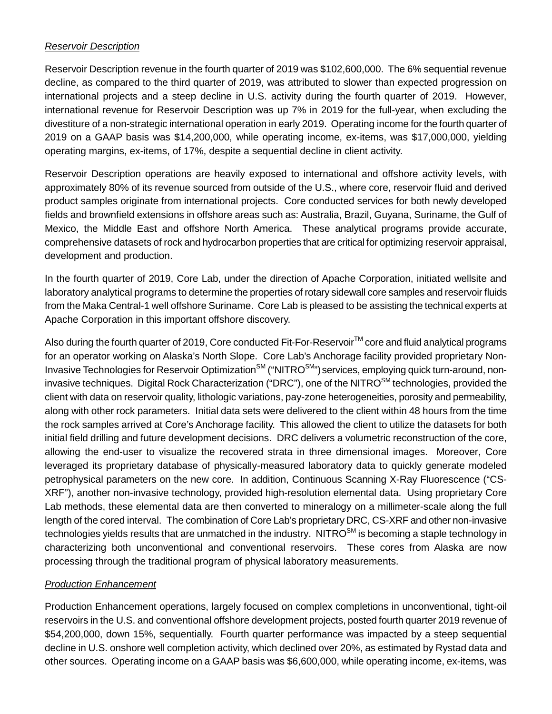#### *Reservoir Description*

Reservoir Description revenue in the fourth quarter of 2019 was \$102,600,000. The 6% sequential revenue decline, as compared to the third quarter of 2019, was attributed to slower than expected progression on international projects and a steep decline in U.S. activity during the fourth quarter of 2019. However, international revenue for Reservoir Description was up 7% in 2019 for the full-year, when excluding the divestiture of a non-strategic international operation in early 2019. Operating income for the fourth quarter of 2019 on a GAAP basis was \$14,200,000, while operating income, ex-items, was \$17,000,000, yielding operating margins, ex-items, of 17%, despite a sequential decline in client activity.

Reservoir Description operations are heavily exposed to international and offshore activity levels, with approximately 80% of its revenue sourced from outside of the U.S., where core, reservoir fluid and derived product samples originate from international projects. Core conducted services for both newly developed fields and brownfield extensions in offshore areas such as: Australia, Brazil, Guyana, Suriname, the Gulf of Mexico, the Middle East and offshore North America. These analytical programs provide accurate, comprehensive datasets of rock and hydrocarbon properties that are critical for optimizing reservoir appraisal, development and production.

In the fourth quarter of 2019, Core Lab, under the direction of Apache Corporation, initiated wellsite and laboratory analytical programs to determine the properties of rotary sidewall core samples and reservoir fluids from the Maka Central-1 well offshore Suriname. Core Lab is pleased to be assisting the technical experts at Apache Corporation in this important offshore discovery.

Also during the fourth quarter of 2019, Core conducted Fit-For-Reservoir™ core and fluid analytical programs for an operator working on Alaska's North Slope. Core Lab's Anchorage facility provided proprietary Non-Invasive Technologies for Reservoir Optimization<sup>SM</sup> ("NITRO<sup>SM</sup>") services, employing quick turn-around, noninvasive techniques. Digital Rock Characterization ("DRC"), one of the NITRO<sup>SM</sup> technologies, provided the client with data on reservoir quality, lithologic variations, pay-zone heterogeneities, porosity and permeability, along with other rock parameters. Initial data sets were delivered to the client within 48 hours from the time the rock samples arrived at Core's Anchorage facility. This allowed the client to utilize the datasets for both initial field drilling and future development decisions. DRC delivers a volumetric reconstruction of the core, allowing the end-user to visualize the recovered strata in three dimensional images. Moreover, Core leveraged its proprietary database of physically-measured laboratory data to quickly generate modeled petrophysical parameters on the new core. In addition, Continuous Scanning X-Ray Fluorescence ("CS-XRF"), another non-invasive technology, provided high-resolution elemental data. Using proprietary Core Lab methods, these elemental data are then converted to mineralogy on a millimeter-scale along the full length of the cored interval. The combination of Core Lab's proprietary DRC, CS-XRF and other non-invasive technologies yields results that are unmatched in the industry. NITRO<sup>SM</sup> is becoming a staple technology in characterizing both unconventional and conventional reservoirs. These cores from Alaska are now processing through the traditional program of physical laboratory measurements.

### *Production Enhancement*

Production Enhancement operations, largely focused on complex completions in unconventional, tight-oil reservoirs in the U.S. and conventional offshore development projects, posted fourth quarter 2019 revenue of \$54,200,000, down 15%, sequentially. Fourth quarter performance was impacted by a steep sequential decline in U.S. onshore well completion activity, which declined over 20%, as estimated by Rystad data and other sources. Operating income on a GAAP basis was \$6,600,000, while operating income, ex-items, was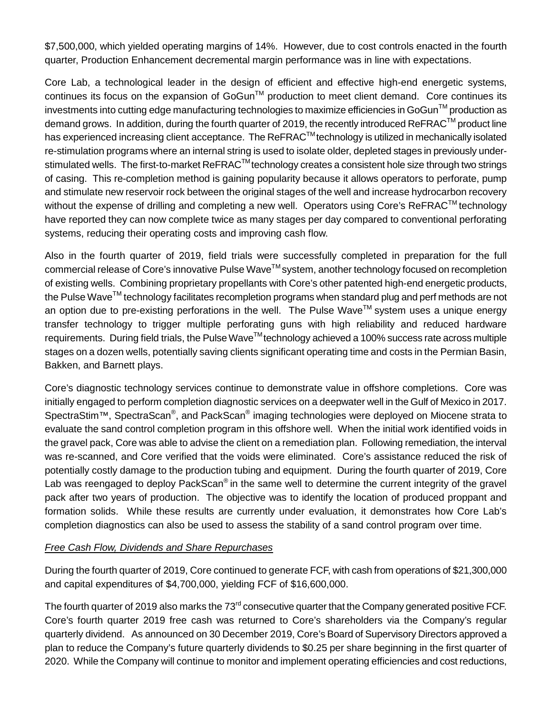\$7,500,000, which yielded operating margins of 14%. However, due to cost controls enacted in the fourth quarter, Production Enhancement decremental margin performance was in line with expectations.

Core Lab, a technological leader in the design of efficient and effective high-end energetic systems, continues its focus on the expansion of GoGun™ production to meet client demand. Core continues its investments into cutting edge manufacturing technologies to maximize efficiencies in GoGun<sup>TM</sup> production as demand grows. In addition, during the fourth quarter of 2019, the recently introduced ReFRAC™ product line has experienced increasing client acceptance. The ReFRAC<sup>TM</sup> technology is utilized in mechanically isolated re-stimulation programs where an internal string is used to isolate older, depleted stages in previously understimulated wells. The first-to-market ReFRAC™ technology creates a consistent hole size through two strings of casing. This re-completion method is gaining popularity because it allows operators to perforate, pump and stimulate new reservoir rock between the original stages of the well and increase hydrocarbon recovery without the expense of drilling and completing a new well. Operators using Core's ReFRAC<sup>TM</sup> technology have reported they can now complete twice as many stages per day compared to conventional perforating systems, reducing their operating costs and improving cash flow.

Also in the fourth quarter of 2019, field trials were successfully completed in preparation for the full commercial release of Core's innovative Pulse Wave<sup>™</sup> system, another technology focused on recompletion of existing wells. Combining proprietary propellants with Core's other patented high-end energetic products, the Pulse Wave<sup>TM</sup> technology facilitates recompletion programs when standard plug and perf methods are not an option due to pre-existing perforations in the well. The Pulse Wave<sup>TM</sup> system uses a unique energy transfer technology to trigger multiple perforating guns with high reliability and reduced hardware requirements. During field trials, the Pulse Wave™ technology achieved a 100% success rate across multiple stages on a dozen wells, potentially saving clients significant operating time and costs in the Permian Basin, Bakken, and Barnett plays.

Core's diagnostic technology services continue to demonstrate value in offshore completions. Core was initially engaged to perform completion diagnostic services on a deepwater well in the Gulf of Mexico in 2017. SpectraStim™, SpectraScan<sup>®</sup>, and PackScan<sup>®</sup> imaging technologies were deployed on Miocene strata to evaluate the sand control completion program in this offshore well. When the initial work identified voids in the gravel pack, Core was able to advise the client on a remediation plan. Following remediation, the interval was re-scanned, and Core verified that the voids were eliminated. Core's assistance reduced the risk of potentially costly damage to the production tubing and equipment. During the fourth quarter of 2019, Core Lab was reengaged to deploy PackScan<sup>®</sup> in the same well to determine the current integrity of the gravel pack after two years of production. The objective was to identify the location of produced proppant and formation solids. While these results are currently under evaluation, it demonstrates how Core Lab's completion diagnostics can also be used to assess the stability of a sand control program over time.

### *Free Cash Flow, Dividends and Share Repurchases*

During the fourth quarter of 2019, Core continued to generate FCF, with cash from operations of \$21,300,000 and capital expenditures of \$4,700,000, yielding FCF of \$16,600,000.

The fourth quarter of 2019 also marks the 73<sup>rd</sup> consecutive quarter that the Company generated positive FCF. Core's fourth quarter 2019 free cash was returned to Core's shareholders via the Company's regular quarterly dividend. As announced on 30 December 2019, Core's Board of Supervisory Directors approved a plan to reduce the Company's future quarterly dividends to \$0.25 per share beginning in the first quarter of 2020. While the Company will continue to monitor and implement operating efficiencies and cost reductions,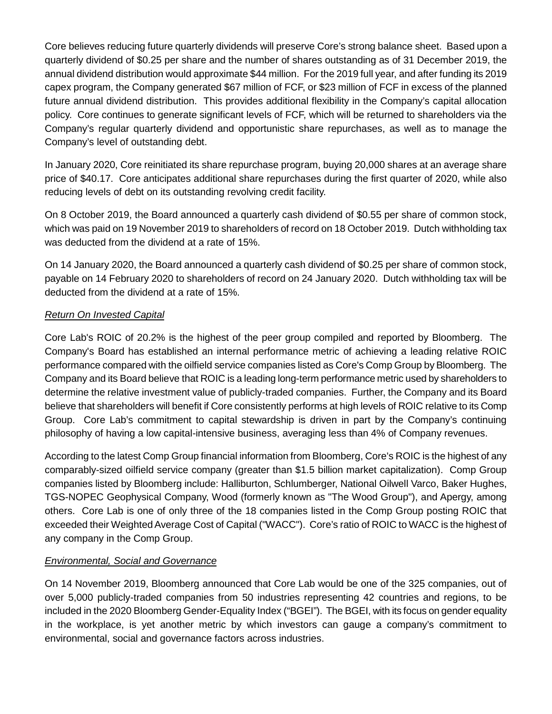Core believes reducing future quarterly dividends will preserve Core's strong balance sheet. Based upon a quarterly dividend of \$0.25 per share and the number of shares outstanding as of 31 December 2019, the annual dividend distribution would approximate \$44 million. For the 2019 full year, and after funding its 2019 capex program, the Company generated \$67 million of FCF, or \$23 million of FCF in excess of the planned future annual dividend distribution. This provides additional flexibility in the Company's capital allocation policy. Core continues to generate significant levels of FCF, which will be returned to shareholders via the Company's regular quarterly dividend and opportunistic share repurchases, as well as to manage the Company's level of outstanding debt.

In January 2020, Core reinitiated its share repurchase program, buying 20,000 shares at an average share price of \$40.17. Core anticipates additional share repurchases during the first quarter of 2020, while also reducing levels of debt on its outstanding revolving credit facility.

On 8 October 2019, the Board announced a quarterly cash dividend of \$0.55 per share of common stock, which was paid on 19 November 2019 to shareholders of record on 18 October 2019. Dutch withholding tax was deducted from the dividend at a rate of 15%.

On 14 January 2020, the Board announced a quarterly cash dividend of \$0.25 per share of common stock, payable on 14 February 2020 to shareholders of record on 24 January 2020. Dutch withholding tax will be deducted from the dividend at a rate of 15%.

## *Return On Invested Capital*

Core Lab's ROIC of 20.2% is the highest of the peer group compiled and reported by Bloomberg. The Company's Board has established an internal performance metric of achieving a leading relative ROIC performance compared with the oilfield service companies listed as Core's Comp Group by Bloomberg. The Company and its Board believe that ROIC is a leading long-term performance metric used by shareholders to determine the relative investment value of publicly-traded companies. Further, the Company and its Board believe that shareholders will benefit if Core consistently performs at high levels of ROIC relative to its Comp Group. Core Lab's commitment to capital stewardship is driven in part by the Company's continuing philosophy of having a low capital-intensive business, averaging less than 4% of Company revenues.

According to the latest Comp Group financial information from Bloomberg, Core's ROIC is the highest of any comparably-sized oilfield service company (greater than \$1.5 billion market capitalization). Comp Group companies listed by Bloomberg include: Halliburton, Schlumberger, National Oilwell Varco, Baker Hughes, TGS-NOPEC Geophysical Company, Wood (formerly known as "The Wood Group"), and Apergy, among others. Core Lab is one of only three of the 18 companies listed in the Comp Group posting ROIC that exceeded their Weighted Average Cost of Capital ("WACC"). Core's ratio of ROIC to WACC is the highest of any company in the Comp Group.

## *Environmental, Social and Governance*

On 14 November 2019, Bloomberg announced that Core Lab would be one of the 325 companies, out of over 5,000 publicly-traded companies from 50 industries representing 42 countries and regions, to be included in the 2020 Bloomberg Gender-Equality Index ("BGEI"). The BGEI, with its focus on gender equality in the workplace, is yet another metric by which investors can gauge a company's commitment to environmental, social and governance factors across industries.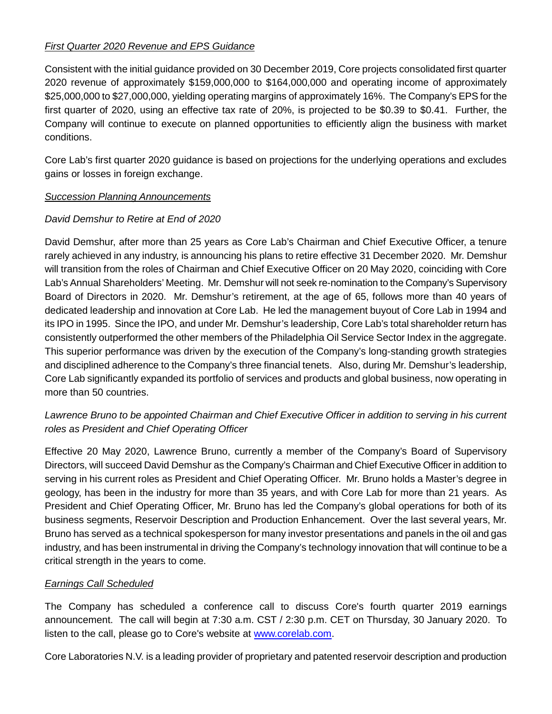## *First Quarter 2020 Revenue and EPS Guidance*

Consistent with the initial guidance provided on 30 December 2019, Core projects consolidated first quarter 2020 revenue of approximately \$159,000,000 to \$164,000,000 and operating income of approximately \$25,000,000 to \$27,000,000, yielding operating margins of approximately 16%. The Company's EPS for the first quarter of 2020, using an effective tax rate of 20%, is projected to be \$0.39 to \$0.41. Further, the Company will continue to execute on planned opportunities to efficiently align the business with market conditions.

Core Lab's first quarter 2020 guidance is based on projections for the underlying operations and excludes gains or losses in foreign exchange.

### *Succession Planning Announcements*

## *David Demshur to Retire at End of 2020*

David Demshur, after more than 25 years as Core Lab's Chairman and Chief Executive Officer, a tenure rarely achieved in any industry, is announcing his plans to retire effective 31 December 2020. Mr. Demshur will transition from the roles of Chairman and Chief Executive Officer on 20 May 2020, coinciding with Core Lab's Annual Shareholders' Meeting. Mr. Demshur will not seek re-nomination to the Company's Supervisory Board of Directors in 2020. Mr. Demshur's retirement, at the age of 65, follows more than 40 years of dedicated leadership and innovation at Core Lab. He led the management buyout of Core Lab in 1994 and its IPO in 1995. Since the IPO, and under Mr. Demshur's leadership, Core Lab's total shareholder return has consistently outperformed the other members of the Philadelphia Oil Service Sector Index in the aggregate. This superior performance was driven by the execution of the Company's long-standing growth strategies and disciplined adherence to the Company's three financial tenets. Also, during Mr. Demshur's leadership, Core Lab significantly expanded its portfolio of services and products and global business, now operating in more than 50 countries.

## *Lawrence Bruno to be appointed Chairman and Chief Executive Officer in addition to serving in his current roles as President and Chief Operating Officer*

Effective 20 May 2020, Lawrence Bruno, currently a member of the Company's Board of Supervisory Directors, will succeed David Demshur as the Company's Chairman and Chief Executive Officer in addition to serving in his current roles as President and Chief Operating Officer. Mr. Bruno holds a Master's degree in geology, has been in the industry for more than 35 years, and with Core Lab for more than 21 years. As President and Chief Operating Officer, Mr. Bruno has led the Company's global operations for both of its business segments, Reservoir Description and Production Enhancement. Over the last several years, Mr. Bruno has served as a technical spokesperson for many investor presentations and panels in the oil and gas industry, and has been instrumental in driving the Company's technology innovation that will continue to be a critical strength in the years to come.

### *Earnings Call Scheduled*

The Company has scheduled a conference call to discuss Core's fourth quarter 2019 earnings announcement. The call will begin at 7:30 a.m. CST / 2:30 p.m. CET on Thursday, 30 January 2020. To listen to the call, please go to Core's website at www.corelab.com.

Core Laboratories N.V. is a leading provider of proprietary and patented reservoir description and production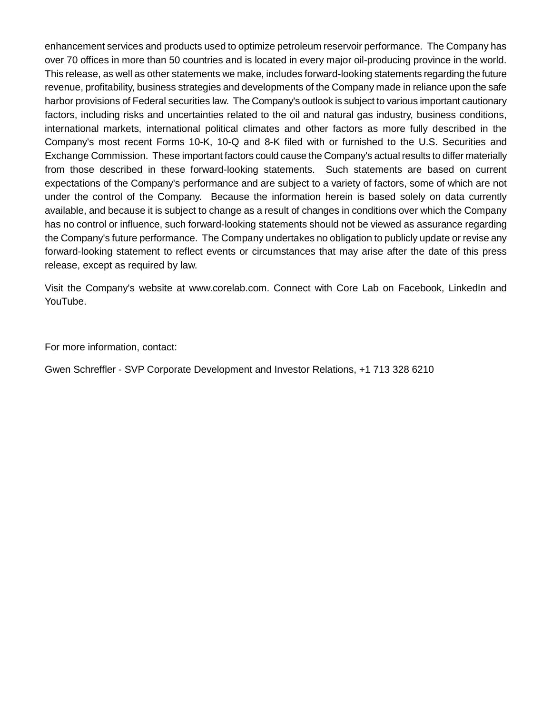enhancement services and products used to optimize petroleum reservoir performance. The Company has over 70 offices in more than 50 countries and is located in every major oil-producing province in the world. This release, as well as other statements we make, includes forward-looking statements regarding the future revenue, profitability, business strategies and developments of the Company made in reliance upon the safe harbor provisions of Federal securities law. The Company's outlook is subject to various important cautionary factors, including risks and uncertainties related to the oil and natural gas industry, business conditions, international markets, international political climates and other factors as more fully described in the Company's most recent Forms 10-K, 10-Q and 8-K filed with or furnished to the U.S. Securities and Exchange Commission. These important factors could cause the Company's actual results to differ materially from those described in these forward-looking statements. Such statements are based on current expectations of the Company's performance and are subject to a variety of factors, some of which are not under the control of the Company. Because the information herein is based solely on data currently available, and because it is subject to change as a result of changes in conditions over which the Company has no control or influence, such forward-looking statements should not be viewed as assurance regarding the Company's future performance. The Company undertakes no obligation to publicly update or revise any forward-looking statement to reflect events or circumstances that may arise after the date of this press release, except as required by law.

Visit the Company's website at www.corelab.com. Connect with Core Lab on Facebook, LinkedIn and YouTube.

For more information, contact:

Gwen Schreffler - SVP Corporate Development and Investor Relations, +1 713 328 6210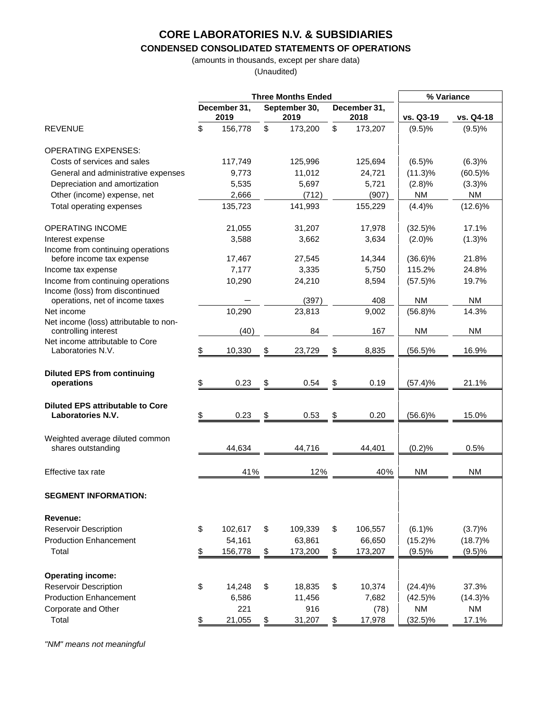#### **CONDENSED CONSOLIDATED STATEMENTS OF OPERATIONS**

(amounts in thousands, except per share data) (Unaudited)

|                                                                      |                          |                      |               | <b>Three Months Ended</b> |                      | % Variance |            |            |
|----------------------------------------------------------------------|--------------------------|----------------------|---------------|---------------------------|----------------------|------------|------------|------------|
|                                                                      |                          | December 31,<br>2019 |               | September 30,<br>2019     | December 31,<br>2018 |            | vs. Q3-19  | vs. Q4-18  |
| <b>REVENUE</b>                                                       | \$                       | 156,778              | \$            | 173,200                   | \$                   | 173,207    | (9.5)%     | (9.5)%     |
| <b>OPERATING EXPENSES:</b>                                           |                          |                      |               |                           |                      |            |            |            |
| Costs of services and sales                                          |                          | 117,749              |               | 125,996                   |                      | 125,694    | (6.5)%     | (6.3)%     |
| General and administrative expenses                                  |                          | 9,773                |               | 11,012                    |                      | 24,721     | $(11.3)\%$ | $(60.5)\%$ |
| Depreciation and amortization                                        |                          | 5,535                |               | 5,697                     |                      | 5,721      | (2.8)%     | $(3.3)\%$  |
| Other (income) expense, net                                          |                          | 2,666                |               | (712)                     |                      | (907)      | <b>NM</b>  | <b>NM</b>  |
| Total operating expenses                                             |                          | 135,723              |               | 141,993                   |                      | 155,229    | (4.4)%     | $(12.6)\%$ |
| <b>OPERATING INCOME</b>                                              |                          | 21,055               |               | 31,207                    |                      | 17,978     | $(32.5)\%$ | 17.1%      |
| Interest expense                                                     |                          | 3,588                |               | 3,662                     |                      | 3,634      | (2.0)%     | (1.3)%     |
| Income from continuing operations<br>before income tax expense       |                          | 17,467               |               | 27,545                    |                      | 14,344     | $(36.6)\%$ | 21.8%      |
| Income tax expense                                                   |                          | 7,177                |               | 3,335                     |                      | 5,750      | 115.2%     | 24.8%      |
| Income from continuing operations<br>Income (loss) from discontinued |                          | 10,290               |               | 24,210                    |                      | 8,594      | $(57.5)\%$ | 19.7%      |
| operations, net of income taxes                                      |                          |                      |               | (397)                     |                      | 408        | <b>NM</b>  | <b>NM</b>  |
| Net income                                                           |                          | 10,290               |               | 23,813                    |                      | 9,002      | (56.8)%    | 14.3%      |
| Net income (loss) attributable to non-<br>controlling interest       |                          | (40)                 |               | 84                        |                      | 167        | <b>NM</b>  | <b>NM</b>  |
| Net income attributable to Core<br>Laboratories N.V.                 | \$                       | 10,330               | \$            | 23,729                    | \$                   | 8,835      | $(56.5)\%$ | 16.9%      |
| <b>Diluted EPS from continuing</b><br>operations                     | \$                       | 0.23                 | \$            | 0.54                      | \$                   | 0.19       | (57.4)%    | 21.1%      |
| <b>Diluted EPS attributable to Core</b><br>Laboratories N.V.         | \$                       | 0.23                 | \$            | 0.53                      | \$                   | 0.20       | $(56.6)\%$ | 15.0%      |
| Weighted average diluted common<br>shares outstanding                |                          | 44,634               |               | 44,716                    |                      | 44,401     | (0.2)%     | 0.5%       |
| Effective tax rate                                                   |                          | 41%                  |               | 12%                       |                      | 40%        | <b>NM</b>  | <b>NM</b>  |
| <b>SEGMENT INFORMATION:</b>                                          |                          |                      |               |                           |                      |            |            |            |
| Revenue:                                                             |                          |                      |               |                           |                      |            |            |            |
| <b>Reservoir Description</b>                                         | \$                       | 102,617              | \$            | 109,339                   | \$                   | 106,557    | (6.1)%     | (3.7)%     |
| <b>Production Enhancement</b>                                        |                          | 54,161               |               | 63,861                    |                      | 66,650     | $(15.2)\%$ | $(18.7)\%$ |
| Total                                                                | $\overline{\mathcal{F}}$ | 156,778              | $\frac{1}{2}$ | 173,200                   | \$                   | 173,207    | (9.5)%     | (9.5)%     |
| <b>Operating income:</b>                                             |                          |                      |               |                           |                      |            |            |            |
| <b>Reservoir Description</b>                                         | \$                       | 14,248               | \$            | 18,835                    | \$                   | 10,374     | $(24.4)\%$ | 37.3%      |
| <b>Production Enhancement</b>                                        |                          | 6,586                |               | 11,456                    |                      | 7,682      | $(42.5)\%$ | $(14.3)\%$ |
| Corporate and Other                                                  |                          | 221                  |               | 916                       |                      | (78)       | <b>NM</b>  | <b>NM</b>  |
| Total                                                                | \$                       | 21,055               | $\frac{1}{2}$ | 31,207                    | $\frac{1}{2}$        | 17,978     | $(32.5)\%$ | 17.1%      |

*"NM" means not meaningful*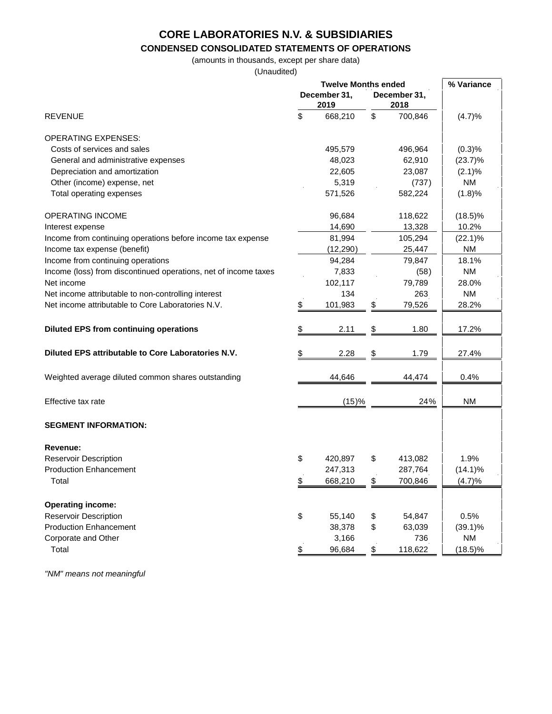### **CONDENSED CONSOLIDATED STATEMENTS OF OPERATIONS**

(amounts in thousands, except per share data)

 $\mathbf{r}$ 

(Unaudited)

|                                                                 | <b>Twelve Months ended</b> |    | % Variance           |            |
|-----------------------------------------------------------------|----------------------------|----|----------------------|------------|
|                                                                 | December 31,<br>2019       |    | December 31,<br>2018 |            |
| <b>REVENUE</b>                                                  | \$<br>668,210              | \$ | 700,846              | (4.7)%     |
| <b>OPERATING EXPENSES:</b>                                      |                            |    |                      |            |
| Costs of services and sales                                     | 495,579                    |    | 496,964              | (0.3)%     |
| General and administrative expenses                             | 48,023                     |    | 62,910               | $(23.7)\%$ |
| Depreciation and amortization                                   | 22,605                     |    | 23,087               | $(2.1)\%$  |
| Other (income) expense, net                                     | 5,319                      |    | (737)                | <b>NM</b>  |
| Total operating expenses                                        | 571,526                    |    | 582,224              | (1.8)%     |
| <b>OPERATING INCOME</b>                                         | 96,684                     |    | 118,622              | $(18.5)\%$ |
| Interest expense                                                | 14,690                     |    | 13,328               | 10.2%      |
| Income from continuing operations before income tax expense     | 81,994                     |    | 105,294              | $(22.1)\%$ |
| Income tax expense (benefit)                                    | (12, 290)                  |    | 25,447               | <b>NM</b>  |
| Income from continuing operations                               | 94,284                     |    | 79,847               | 18.1%      |
| Income (loss) from discontinued operations, net of income taxes | 7,833                      |    | (58)                 | <b>NM</b>  |
| Net income                                                      | 102,117                    |    | 79,789               | 28.0%      |
| Net income attributable to non-controlling interest             | 134                        |    | 263                  | <b>NM</b>  |
| Net income attributable to Core Laboratories N.V.               | \$<br>101,983              | \$ | 79,526               | 28.2%      |
| <b>Diluted EPS from continuing operations</b>                   | \$<br>2.11                 | \$ | 1.80                 | 17.2%      |
| Diluted EPS attributable to Core Laboratories N.V.              | \$<br>2.28                 | \$ | 1.79                 | 27.4%      |
| Weighted average diluted common shares outstanding              | 44,646                     |    | 44,474               | 0.4%       |
| Effective tax rate                                              | (15)%                      |    | 24%                  | <b>NM</b>  |
| <b>SEGMENT INFORMATION:</b>                                     |                            |    |                      |            |
| Revenue:                                                        |                            |    |                      |            |
| <b>Reservoir Description</b>                                    | \$<br>420,897              | \$ | 413,082              | 1.9%       |
| <b>Production Enhancement</b>                                   | 247,313                    |    | 287,764              | $(14.1)\%$ |
| Total                                                           | \$<br>668,210              | \$ | 700,846              | (4.7)%     |
| <b>Operating income:</b>                                        |                            |    |                      |            |
| <b>Reservoir Description</b>                                    | \$<br>55,140               | \$ | 54,847               | 0.5%       |
| <b>Production Enhancement</b>                                   | 38,378                     | \$ | 63,039               | $(39.1)\%$ |
| Corporate and Other                                             | 3,166                      |    | 736                  | <b>NM</b>  |
| Total                                                           | \$<br>96,684               | \$ | 118,622              | $(18.5)\%$ |

*"NM" means not meaningful*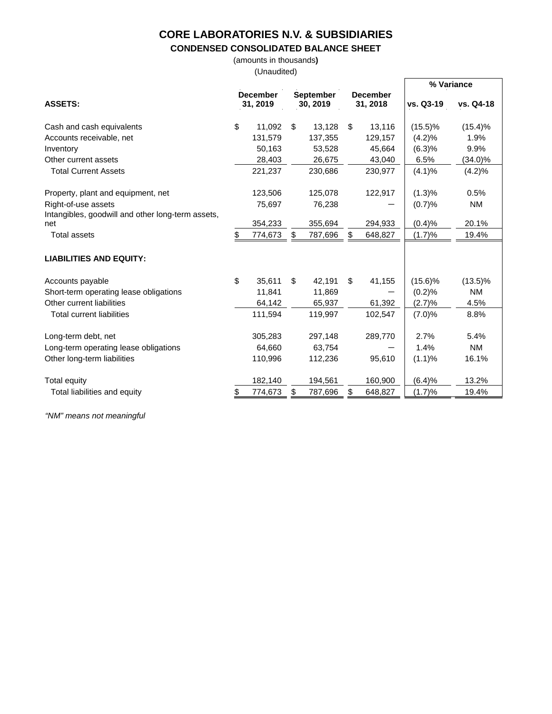#### **CONDENSED CONSOLIDATED BALANCE SHEET**

(amounts in thousands**)**

(Unaudited)

|                                                   |                             |         |                              |         |                             |         | % Variance |            |
|---------------------------------------------------|-----------------------------|---------|------------------------------|---------|-----------------------------|---------|------------|------------|
| <b>ASSETS:</b>                                    | <b>December</b><br>31, 2019 |         | <b>September</b><br>30, 2019 |         | <b>December</b><br>31, 2018 |         | vs. Q3-19  | vs. Q4-18  |
| Cash and cash equivalents                         | \$                          | 11,092  | \$                           | 13,128  | \$                          | 13,116  | $(15.5)\%$ | $(15.4)\%$ |
| Accounts receivable, net                          |                             | 131,579 |                              | 137,355 |                             | 129,157 | (4.2)%     | 1.9%       |
| Inventory                                         |                             | 50,163  |                              | 53,528  |                             | 45,664  | (6.3)%     | 9.9%       |
| Other current assets                              |                             | 28,403  |                              | 26,675  |                             | 43,040  | 6.5%       | (34.0)%    |
| <b>Total Current Assets</b>                       |                             | 221,237 |                              | 230,686 |                             | 230,977 | (4.1)%     | (4.2)%     |
| Property, plant and equipment, net                |                             | 123,506 |                              | 125,078 |                             | 122,917 | (1.3)%     | 0.5%       |
| Right-of-use assets                               |                             | 75,697  |                              | 76,238  |                             |         | (0.7)%     | <b>NM</b>  |
| Intangibles, goodwill and other long-term assets, |                             |         |                              |         |                             |         |            |            |
| net                                               |                             | 354,233 |                              | 355,694 |                             | 294,933 | (0.4)%     | 20.1%      |
| <b>Total assets</b>                               | \$                          | 774,673 | S                            | 787,696 |                             | 648,827 | (1.7)%     | 19.4%      |
| <b>LIABILITIES AND EQUITY:</b>                    |                             |         |                              |         |                             |         |            |            |
| Accounts payable                                  | \$                          | 35,611  | \$                           | 42,191  | \$                          | 41,155  | $(15.6)\%$ | $(13.5)\%$ |
| Short-term operating lease obligations            |                             | 11,841  |                              | 11,869  |                             |         | (0.2)%     | <b>NM</b>  |
| Other current liabilities                         |                             | 64,142  |                              | 65,937  |                             | 61,392  | (2.7)%     | 4.5%       |
| <b>Total current liabilities</b>                  |                             | 111,594 |                              | 119,997 |                             | 102,547 | (7.0)%     | 8.8%       |
| Long-term debt, net                               |                             | 305,283 |                              | 297,148 |                             | 289,770 | 2.7%       | 5.4%       |
| Long-term operating lease obligations             |                             | 64,660  |                              | 63,754  |                             |         | 1.4%       | <b>NM</b>  |
| Other long-term liabilities                       |                             | 110,996 |                              | 112,236 |                             | 95,610  | (1.1)%     | 16.1%      |
| <b>Total equity</b>                               |                             | 182,140 |                              | 194,561 |                             | 160,900 | (6.4)%     | 13.2%      |
| Total liabilities and equity                      |                             | 774,673 | S                            | 787,696 | \$                          | 648,827 | (1.7)%     | 19.4%      |

*"NM" means not meaningful*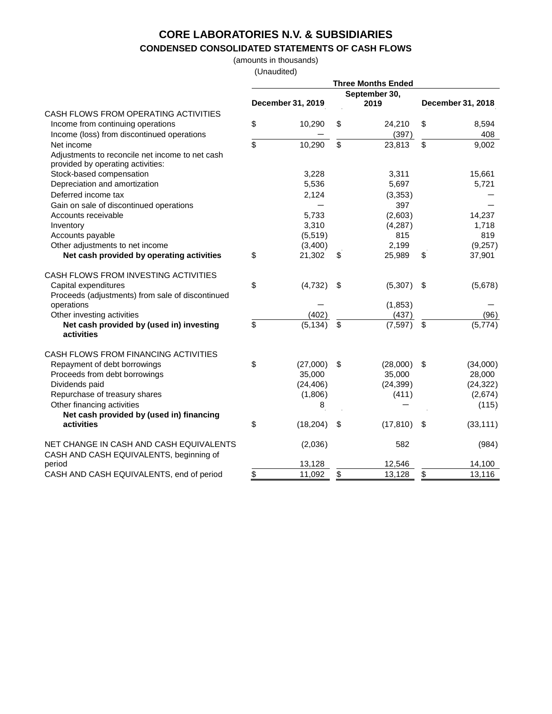# **CONDENSED CONSOLIDATED STATEMENTS OF CASH FLOWS**

(amounts in thousands)

(Unaudited)

|                                                                                    |    | December 31, 2019 | <b>Three Months Ended</b><br>September 30,<br>2019 | December 31, 2018 |           |  |
|------------------------------------------------------------------------------------|----|-------------------|----------------------------------------------------|-------------------|-----------|--|
| CASH FLOWS FROM OPERATING ACTIVITIES                                               |    |                   |                                                    |                   |           |  |
| Income from continuing operations                                                  | \$ | 10,290            | \$<br>24.210                                       | \$                | 8,594     |  |
| Income (loss) from discontinued operations                                         |    |                   | (397)                                              |                   | 408       |  |
| Net income                                                                         | \$ | 10,290            | \$<br>23,813                                       | \$                | 9,002     |  |
| Adjustments to reconcile net income to net cash                                    |    |                   |                                                    |                   |           |  |
| provided by operating activities:                                                  |    |                   |                                                    |                   |           |  |
| Stock-based compensation                                                           |    | 3,228             | 3,311                                              |                   | 15,661    |  |
| Depreciation and amortization                                                      |    | 5,536             | 5,697                                              |                   | 5,721     |  |
| Deferred income tax                                                                |    | 2,124             | (3,353)                                            |                   |           |  |
| Gain on sale of discontinued operations                                            |    |                   | 397                                                |                   |           |  |
| Accounts receivable                                                                |    | 5,733             | (2,603)                                            |                   | 14,237    |  |
| Inventory                                                                          |    | 3,310             | (4,287)                                            |                   | 1,718     |  |
| Accounts payable                                                                   |    | (5,519)           | 815                                                |                   | 819       |  |
| Other adjustments to net income                                                    |    | (3,400)           | 2,199                                              |                   | (9,257)   |  |
| Net cash provided by operating activities                                          | \$ | 21,302            | \$<br>25,989                                       | \$                | 37,901    |  |
| CASH FLOWS FROM INVESTING ACTIVITIES                                               |    |                   |                                                    |                   |           |  |
| Capital expenditures                                                               | \$ | (4, 732)          | \$<br>(5,307)                                      | -\$               | (5,678)   |  |
| Proceeds (adjustments) from sale of discontinued                                   |    |                   |                                                    |                   |           |  |
| operations                                                                         |    |                   | (1,853)                                            |                   |           |  |
| Other investing activities                                                         |    | (402)             | (437)                                              |                   | (96)      |  |
| Net cash provided by (used in) investing<br>activities                             | \$ | (5, 134)          | \$<br>(7, 597)                                     | \$                | (5,774)   |  |
| CASH FLOWS FROM FINANCING ACTIVITIES                                               |    |                   |                                                    |                   |           |  |
| Repayment of debt borrowings                                                       | \$ | (27,000)          | \$<br>(28,000)                                     | -\$               | (34,000)  |  |
| Proceeds from debt borrowings                                                      |    | 35,000            | 35,000                                             |                   | 28,000    |  |
| Dividends paid                                                                     |    | (24, 406)         | (24, 399)                                          |                   | (24, 322) |  |
| Repurchase of treasury shares                                                      |    | (1,806)           | (411)                                              |                   | (2,674)   |  |
| Other financing activities                                                         |    | 8                 |                                                    |                   | (115)     |  |
| Net cash provided by (used in) financing                                           |    |                   |                                                    |                   |           |  |
| activities                                                                         | \$ | (18, 204)         | \$<br>(17, 810)                                    | -\$               | (33, 111) |  |
| NET CHANGE IN CASH AND CASH EQUIVALENTS<br>CASH AND CASH EQUIVALENTS, beginning of |    | (2,036)           | 582                                                |                   | (984)     |  |
| period                                                                             |    | 13,128            | 12,546                                             |                   | 14,100    |  |
| CASH AND CASH EQUIVALENTS, end of period                                           | \$ | 11,092            | \$<br>13,128                                       | \$                | 13,116    |  |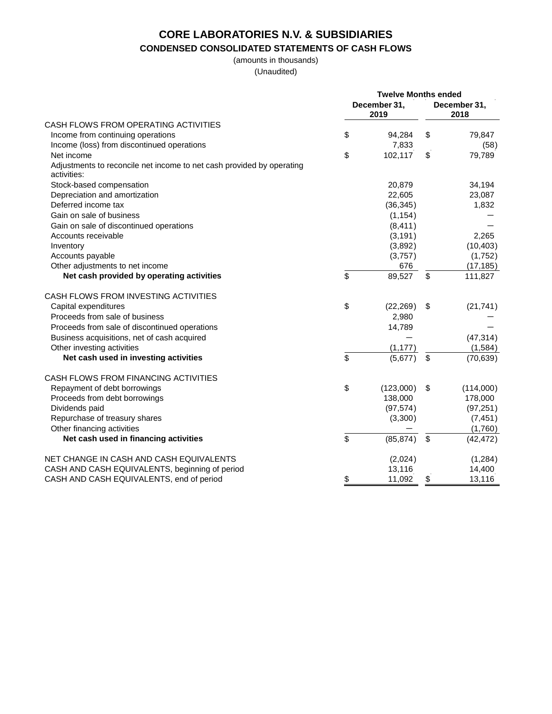## **CONDENSED CONSOLIDATED STATEMENTS OF CASH FLOWS**

(amounts in thousands) (Unaudited)

|                                                                                      | <b>Twelve Months ended</b> |                      |    |                      |
|--------------------------------------------------------------------------------------|----------------------------|----------------------|----|----------------------|
|                                                                                      |                            | December 31,<br>2019 |    | December 31,<br>2018 |
| CASH FLOWS FROM OPERATING ACTIVITIES                                                 |                            |                      |    |                      |
| Income from continuing operations                                                    | \$                         | 94,284               | \$ | 79,847               |
| Income (loss) from discontinued operations                                           |                            | 7,833                |    | (58)                 |
| Net income                                                                           | \$                         | 102,117              | \$ | 79,789               |
| Adjustments to reconcile net income to net cash provided by operating<br>activities: |                            |                      |    |                      |
| Stock-based compensation                                                             |                            | 20,879               |    | 34,194               |
| Depreciation and amortization                                                        |                            | 22,605               |    | 23,087               |
| Deferred income tax                                                                  |                            | (36, 345)            |    | 1,832                |
| Gain on sale of business                                                             |                            | (1, 154)             |    |                      |
| Gain on sale of discontinued operations                                              |                            | (8, 411)             |    |                      |
| Accounts receivable                                                                  |                            | (3, 191)             |    | 2,265                |
| Inventory                                                                            |                            | (3,892)              |    | (10, 403)            |
| Accounts payable                                                                     |                            | (3,757)              |    | (1,752)              |
| Other adjustments to net income                                                      |                            | 676                  |    | (17, 185)            |
| Net cash provided by operating activities                                            | \$                         | 89,527               | \$ | 111,827              |
| CASH FLOWS FROM INVESTING ACTIVITIES                                                 |                            |                      |    |                      |
| Capital expenditures                                                                 | \$                         | (22, 269)            | \$ | (21, 741)            |
| Proceeds from sale of business                                                       |                            | 2,980                |    |                      |
| Proceeds from sale of discontinued operations                                        |                            | 14,789               |    |                      |
| Business acquisitions, net of cash acquired                                          |                            |                      |    | (47, 314)            |
| Other investing activities                                                           |                            | (1, 177)             |    | (1,584)              |
| Net cash used in investing activities                                                | \$                         | (5,677)              | \$ | (70, 639)            |
| CASH FLOWS FROM FINANCING ACTIVITIES                                                 |                            |                      |    |                      |
| Repayment of debt borrowings                                                         | \$                         | (123,000)            | \$ | (114,000)            |
| Proceeds from debt borrowings                                                        |                            | 138,000              |    | 178,000              |
| Dividends paid                                                                       |                            | (97, 574)            |    | (97, 251)            |
| Repurchase of treasury shares                                                        |                            | (3,300)              |    | (7, 451)             |
| Other financing activities                                                           |                            |                      |    | (1,760)              |
| Net cash used in financing activities                                                | \$                         | (85, 874)            | \$ | (42, 472)            |
| NET CHANGE IN CASH AND CASH EQUIVALENTS                                              |                            | (2,024)              |    | (1, 284)             |
| CASH AND CASH EQUIVALENTS, beginning of period                                       |                            | 13,116               |    | 14,400               |
| CASH AND CASH EQUIVALENTS, end of period                                             | \$                         | 11,092               | \$ | 13,116               |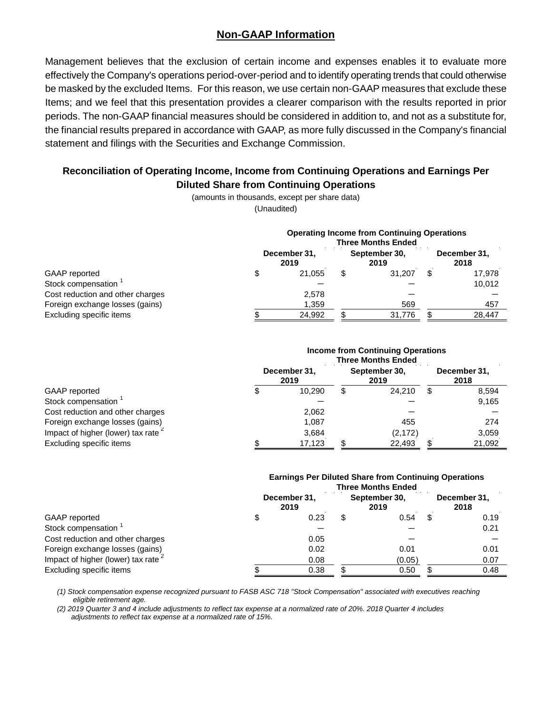### **Non-GAAP Information**

Management believes that the exclusion of certain income and expenses enables it to evaluate more effectively the Company's operations period-over-period and to identify operating trends that could otherwise be masked by the excluded Items. For this reason, we use certain non-GAAP measures that exclude these Items; and we feel that this presentation provides a clearer comparison with the results reported in prior periods. The non-GAAP financial measures should be considered in addition to, and not as a substitute for, the financial results prepared in accordance with GAAP, as more fully discussed in the Company's financial statement and filings with the Securities and Exchange Commission.

### **Reconciliation of Operating Income, Income from Continuing Operations and Earnings Per Diluted Share from Continuing Operations**

(amounts in thousands, except per share data) (Unaudited)

|                                  | <b>Operating Income from Continuing Operations</b><br><b>Three Months Ended</b> |        |                       |                      |   |        |  |  |
|----------------------------------|---------------------------------------------------------------------------------|--------|-----------------------|----------------------|---|--------|--|--|
|                                  | December 31,                                                                    |        | September 30,<br>2019 | December 31,<br>2018 |   |        |  |  |
| GAAP reported                    |                                                                                 | 21.055 | S                     | 31.207               | S | 17.978 |  |  |
| Stock compensation <sup>1</sup>  |                                                                                 |        |                       |                      |   | 10,012 |  |  |
| Cost reduction and other charges |                                                                                 | 2,578  |                       |                      |   |        |  |  |
| Foreign exchange losses (gains)  |                                                                                 | 1,359  |                       | 569                  |   | 457    |  |  |
| Excluding specific items         |                                                                                 | 24,992 |                       | 31.776               | c | 28,447 |  |  |

|                                   | <b>Income from Continuing Operations</b><br><b>Three Months Ended</b> |        |                       |                      |   |        |  |  |  |
|-----------------------------------|-----------------------------------------------------------------------|--------|-----------------------|----------------------|---|--------|--|--|--|
| GAAP reported                     | December 31,<br>2019                                                  |        | September 30,<br>2019 | December 31,<br>2018 |   |        |  |  |  |
|                                   | S                                                                     | 10.290 | \$                    | 24.210               | S | 8,594  |  |  |  |
| Stock compensation                |                                                                       |        |                       |                      |   | 9,165  |  |  |  |
| Cost reduction and other charges  |                                                                       | 2.062  |                       |                      |   |        |  |  |  |
| Foreign exchange losses (gains)   |                                                                       | 1,087  |                       | 455                  |   | 274    |  |  |  |
| Impact of higher (lower) tax rate |                                                                       | 3,684  |                       | (2, 172)             |   | 3,059  |  |  |  |
| Excluding specific items          |                                                                       | 17,123 |                       | 22,493               |   | 21,092 |  |  |  |

#### **Earnings Per Diluted Share from Continuing Operations Three Months Ended**

| GAAP reported                       | December 31,<br>2019 |      | September 30,<br>2019 | December 31,<br>2018 |   |      |
|-------------------------------------|----------------------|------|-----------------------|----------------------|---|------|
|                                     |                      | 0.23 | \$                    | 0.54                 | S | 0.19 |
| Stock compensation                  |                      |      |                       |                      |   | 0.21 |
| Cost reduction and other charges    |                      | 0.05 |                       |                      |   |      |
| Foreign exchange losses (gains)     |                      | 0.02 |                       | 0.01                 |   | 0.01 |
| Impact of higher (lower) tax rate 2 |                      | 0.08 |                       | (0.05)               |   | 0.07 |
| Excluding specific items            |                      | 0.38 |                       | 0.50                 |   | 0.48 |
|                                     |                      |      |                       |                      |   |      |

*(1) Stock compensation expense recognized pursuant to FASB ASC 718 "Stock Compensation" associated with executives reaching eligible retirement age.*

*(2) 2019 Quarter 3 and 4 include adjustments to reflect tax expense at a normalized rate of 20%. 2018 Quarter 4 includes adjustments to reflect tax expense at a normalized rate of 15%.*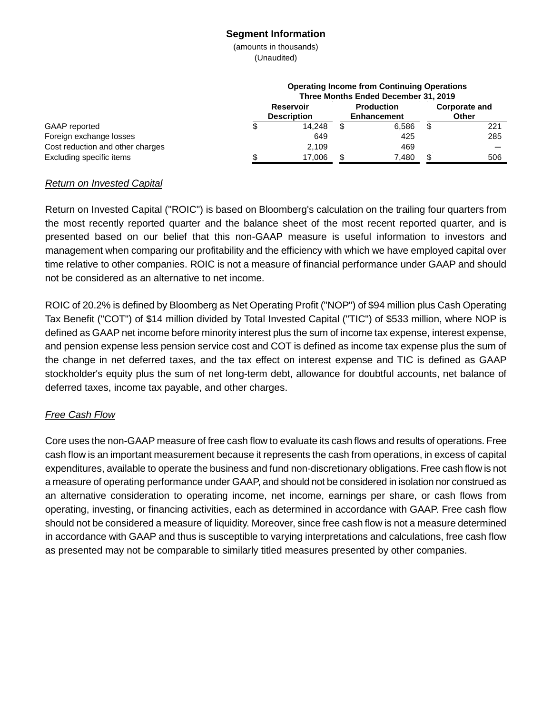#### **Segment Information**

(amounts in thousands) (Unaudited)

|                                  | <b>Operating Income from Continuing Operations</b><br>Three Months Ended December 31, 2019 |                                        |  |                                         |  |                               |  |  |
|----------------------------------|--------------------------------------------------------------------------------------------|----------------------------------------|--|-----------------------------------------|--|-------------------------------|--|--|
|                                  |                                                                                            | <b>Reservoir</b><br><b>Description</b> |  | <b>Production</b><br><b>Enhancement</b> |  | <b>Corporate and</b><br>Other |  |  |
| GAAP reported                    |                                                                                            | 14.248                                 |  | 6.586                                   |  | 221                           |  |  |
| Foreign exchange losses          |                                                                                            | 649                                    |  | 425                                     |  | 285                           |  |  |
| Cost reduction and other charges |                                                                                            | 2.109                                  |  | 469                                     |  |                               |  |  |
| Excluding specific items         |                                                                                            | 17,006                                 |  | 7,480                                   |  | 506                           |  |  |

#### *Return on Invested Capital*

Return on Invested Capital ("ROIC") is based on Bloomberg's calculation on the trailing four quarters from the most recently reported quarter and the balance sheet of the most recent reported quarter, and is presented based on our belief that this non-GAAP measure is useful information to investors and management when comparing our profitability and the efficiency with which we have employed capital over time relative to other companies. ROIC is not a measure of financial performance under GAAP and should not be considered as an alternative to net income.

ROIC of 20.2% is defined by Bloomberg as Net Operating Profit ("NOP") of \$94 million plus Cash Operating Tax Benefit ("COT") of \$14 million divided by Total Invested Capital ("TIC") of \$533 million, where NOP is defined as GAAP net income before minority interest plus the sum of income tax expense, interest expense, and pension expense less pension service cost and COT is defined as income tax expense plus the sum of the change in net deferred taxes, and the tax effect on interest expense and TIC is defined as GAAP stockholder's equity plus the sum of net long-term debt, allowance for doubtful accounts, net balance of deferred taxes, income tax payable, and other charges.

### *Free Cash Flow*

Core uses the non-GAAP measure of free cash flow to evaluate its cash flows and results of operations. Free cash flow is an important measurement because it represents the cash from operations, in excess of capital expenditures, available to operate the business and fund non-discretionary obligations. Free cash flow is not a measure of operating performance under GAAP, and should not be considered in isolation nor construed as an alternative consideration to operating income, net income, earnings per share, or cash flows from operating, investing, or financing activities, each as determined in accordance with GAAP. Free cash flow should not be considered a measure of liquidity. Moreover, since free cash flow is not a measure determined in accordance with GAAP and thus is susceptible to varying interpretations and calculations, free cash flow as presented may not be comparable to similarly titled measures presented by other companies.